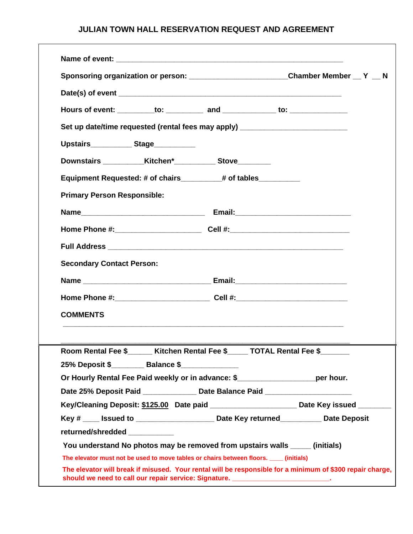|                                                  | Sponsoring organization or person: __________________________Chamber Member __ Y __ N                                                                                 |  |
|--------------------------------------------------|-----------------------------------------------------------------------------------------------------------------------------------------------------------------------|--|
|                                                  |                                                                                                                                                                       |  |
|                                                  |                                                                                                                                                                       |  |
|                                                  | Hours of event: __________to: ___________ and ______________ to: _______________                                                                                      |  |
|                                                  | Set up date/time requested (rental fees may apply) _____________________________                                                                                      |  |
| Upstairs______________Stage____________          |                                                                                                                                                                       |  |
|                                                  |                                                                                                                                                                       |  |
|                                                  | Equipment Requested: # of chairs________# of tables__________                                                                                                         |  |
| <b>Primary Person Responsible:</b>               |                                                                                                                                                                       |  |
|                                                  |                                                                                                                                                                       |  |
|                                                  |                                                                                                                                                                       |  |
|                                                  |                                                                                                                                                                       |  |
|                                                  |                                                                                                                                                                       |  |
| <b>Secondary Contact Person:</b>                 |                                                                                                                                                                       |  |
|                                                  |                                                                                                                                                                       |  |
|                                                  | Home Phone #:______________________________Cell #:______________________________                                                                                      |  |
| <b>COMMENTS</b>                                  |                                                                                                                                                                       |  |
|                                                  |                                                                                                                                                                       |  |
|                                                  |                                                                                                                                                                       |  |
|                                                  | Room Rental Fee \$_____ Kitchen Rental Fee \$____ TOTAL Rental Fee \$______                                                                                           |  |
| 25% Deposit \$_________ Balance \$______________ |                                                                                                                                                                       |  |
|                                                  | Or Hourly Rental Fee Paid weekly or in advance: \$______________________per hour.<br>Date 25% Deposit Paid _______________ Date Balance Paid ________________________ |  |
|                                                  | Key/Cleaning Deposit: \$125.00 Date paid _______________________Date Key issued _______                                                                               |  |
|                                                  | Key # ____ Issued to ___________________________ Date Key returned_____________ Date Deposit                                                                          |  |
| returned/shredded __________                     |                                                                                                                                                                       |  |
|                                                  | You understand No photos may be removed from upstairs walls ______ (initials)                                                                                         |  |
|                                                  | The elevator must not be used to move tables or chairs between floors. ____ (initials)                                                                                |  |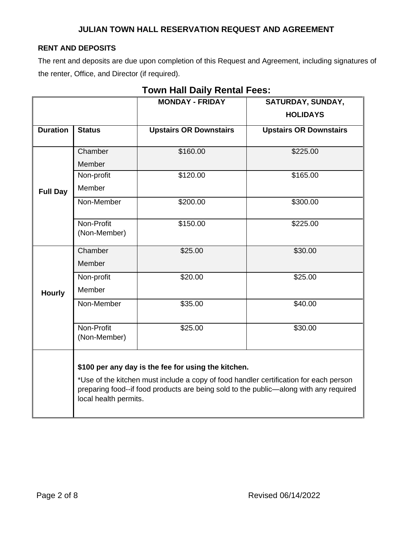## **RENT AND DEPOSITS**

The rent and deposits are due upon completion of this Request and Agreement, including signatures of the renter, Office, and Director (if required).

|                 |                                                                                                                | <b>MONDAY - FRIDAY</b>                              | SATURDAY, SUNDAY,             |  |  |  |
|-----------------|----------------------------------------------------------------------------------------------------------------|-----------------------------------------------------|-------------------------------|--|--|--|
|                 |                                                                                                                |                                                     | <b>HOLIDAYS</b>               |  |  |  |
| <b>Duration</b> | <b>Status</b>                                                                                                  | <b>Upstairs OR Downstairs</b>                       | <b>Upstairs OR Downstairs</b> |  |  |  |
|                 |                                                                                                                |                                                     |                               |  |  |  |
| <b>Full Day</b> | Chamber                                                                                                        | \$160.00                                            | \$225.00                      |  |  |  |
|                 | Member                                                                                                         |                                                     |                               |  |  |  |
|                 | Non-profit                                                                                                     | \$120.00                                            | \$165.00                      |  |  |  |
|                 | Member                                                                                                         |                                                     |                               |  |  |  |
|                 | Non-Member                                                                                                     | \$200.00                                            | \$300.00                      |  |  |  |
|                 | Non-Profit<br>(Non-Member)                                                                                     | \$150.00                                            | \$225.00                      |  |  |  |
| <b>Hourly</b>   | Chamber                                                                                                        | \$25.00                                             | \$30.00                       |  |  |  |
|                 | Member                                                                                                         |                                                     |                               |  |  |  |
|                 | Non-profit                                                                                                     | \$20.00                                             | \$25.00                       |  |  |  |
|                 | Member                                                                                                         |                                                     |                               |  |  |  |
|                 | Non-Member                                                                                                     | \$35.00                                             | \$40.00                       |  |  |  |
|                 | Non-Profit<br>(Non-Member)                                                                                     | \$25.00                                             | \$30.00                       |  |  |  |
|                 |                                                                                                                |                                                     |                               |  |  |  |
|                 |                                                                                                                | \$100 per any day is the fee for using the kitchen. |                               |  |  |  |
|                 | *Use of the kitchen must include a copy of food handler certification for each person                          |                                                     |                               |  |  |  |
|                 | preparing food--if food products are being sold to the public-along with any required<br>local health permits. |                                                     |                               |  |  |  |

## **Town Hall Daily Rental Fees:**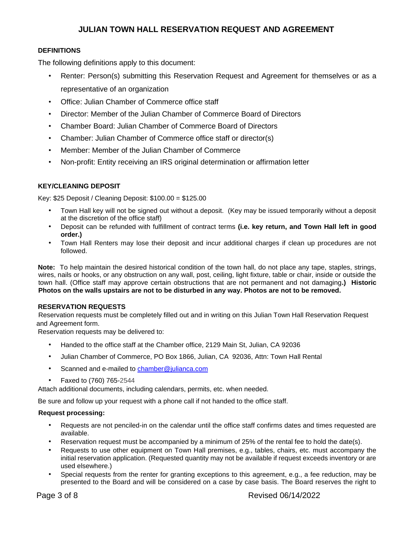#### **DEFINITIONS**

The following definitions apply to this document:

- Renter: Person(s) submitting this Reservation Request and Agreement for themselves or as a representative of an organization
- Office: Julian Chamber of Commerce office staff
- Director: Member of the Julian Chamber of Commerce Board of Directors
- Chamber Board: Julian Chamber of Commerce Board of Directors
- Chamber: Julian Chamber of Commerce office staff or director(s)
- Member: Member of the Julian Chamber of Commerce
- Non-profit: Entity receiving an IRS original determination or affirmation letter

#### **KEY/CLEANING DEPOSIT**

Key: \$25 Deposit / Cleaning Deposit: \$100.00 = \$125.00

- Town Hall key will not be signed out without a deposit. (Key may be issued temporarily without a deposit at the discretion of the office staff)
- Deposit can be refunded with fulfillment of contract terms **(i.e. key return, and Town Hall left in good order.)**
- Town Hall Renters may lose their deposit and incur additional charges if clean up procedures are not followed.

**Note:** To help maintain the desired historical condition of the town hall, do not place any tape, staples, strings, wires, nails or hooks, or any obstruction on any wall, post, ceiling, light fixture, table or chair, inside or outside the town hall. (Office staff may approve certain obstructions that are not permanent and not damaging**.) Historic Photos on the walls upstairs are not to be disturbed in any way. Photos are not to be removed.** 

#### **RESERVATION REQUESTS**

Reservation requests must be completely filled out and in writing on this Julian Town Hall Reservation Request and Agreement form.

Reservation requests may be delivered to:

- Handed to the office staff at the Chamber office, 2129 Main St, Julian, CA 92036
- Julian Chamber of Commerce, PO Box 1866, Julian, CA 92036, Attn: Town Hall Rental
- Scanned and e-mailed to chamber@julianca.com
- Faxed to (760) 765-2544

Attach additional documents, including calendars, permits, etc. when needed.

Be sure and follow up your request with a phone call if not handed to the office staff.

#### **Request processing:**

- Requests are not penciled-in on the calendar until the office staff confirms dates and times requested are available.
- Reservation request must be accompanied by a minimum of 25% of the rental fee to hold the date(s).
- Requests to use other equipment on Town Hall premises, e.g., tables, chairs, etc. must accompany the initial reservation application. (Requested quantity may not be available if request exceeds inventory or are used elsewhere.)
- Special requests from the renter for granting exceptions to this agreement, e.g., a fee reduction, may be presented to the Board and will be considered on a case by case basis. The Board reserves the right to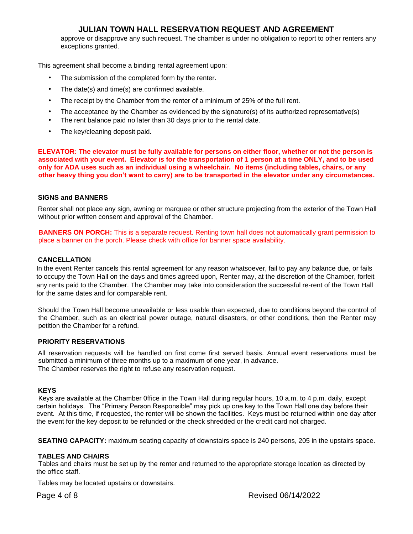approve or disapprove any such request. The chamber is under no obligation to report to other renters any exceptions granted.

This agreement shall become a binding rental agreement upon:

- The submission of the completed form by the renter.
- The date(s) and time(s) are confirmed available.
- The receipt by the Chamber from the renter of a minimum of 25% of the full rent.
- The acceptance by the Chamber as evidenced by the signature(s) of its authorized representative(s)
- The rent balance paid no later than 30 days prior to the rental date.
- The key/cleaning deposit paid.

**ELEVATOR: The elevator must be fully available for persons on either floor, whether or not the person is associated with your event. Elevator is for the transportation of 1 person at a time ONLY, and to be used only for ADA uses such as an individual using a wheelchair. No items (including tables, chairs, or any other heavy thing you don't want to carry) are to be transported in the elevator under any circumstances.**

#### **SIGNS and BANNERS**

Renter shall not place any sign, awning or marquee or other structure projecting from the exterior of the Town Hall without prior written consent and approval of the Chamber.

**BANNERS ON PORCH:** This is a separate request. Renting town hall does not automatically grant permission to place a banner on the porch. Please check with office for banner space availability.

#### **CANCELLATION**

In the event Renter cancels this rental agreement for any reason whatsoever, fail to pay any balance due, or fails to occupy the Town Hall on the days and times agreed upon, Renter may, at the discretion of the Chamber, forfeit any rents paid to the Chamber. The Chamber may take into consideration the successful re-rent of the Town Hall for the same dates and for comparable rent.

Should the Town Hall become unavailable or less usable than expected, due to conditions beyond the control of the Chamber, such as an electrical power outage, natural disasters, or other conditions, then the Renter may petition the Chamber for a refund.

#### **PRIORITY RESERVATIONS**

All reservation requests will be handled on first come first served basis. Annual event reservations must be submitted a minimum of three months up to a maximum of one year, in advance. The Chamber reserves the right to refuse any reservation request.

#### **KEYS**

Keys are available at the Chamber 0ffice in the Town Hall during regular hours, 10 a.m. to 4 p.m. daily, except certain holidays. The "Primary Person Responsible" may pick up one key to the Town Hall one day before their event. At this time, if requested, the renter will be shown the facilities. Keys must be returned within one day after the event for the key deposit to be refunded or the check shredded or the credit card not charged.

**SEATING CAPACITY:** maximum seating capacity of downstairs space is 240 persons, 205 in the upstairs space.

#### **TABLES AND CHAIRS**

Tables and chairs must be set up by the renter and returned to the appropriate storage location as directed by the office staff.

Tables may be located upstairs or downstairs.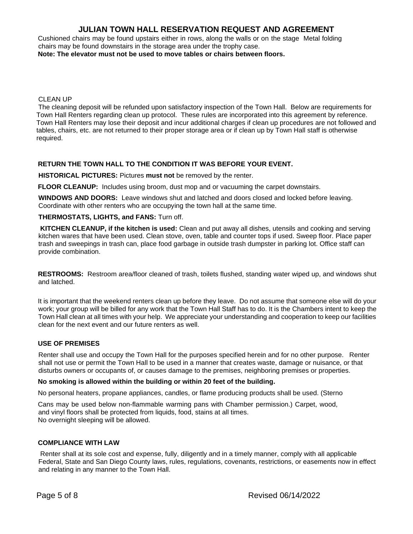Cushioned chairs may be found upstairs either in rows, along the walls or on the stage Metal folding chairs may be found downstairs in the storage area under the trophy case.

**Note: The elevator must not be used to move tables or chairs between floors.** 

#### CLEAN UP

The cleaning deposit will be refunded upon satisfactory inspection of the Town Hall. Below are requirements for Town Hall Renters regarding clean up protocol. These rules are incorporated into this agreement by reference. Town Hall Renters may lose their deposit and incur additional charges if clean up procedures are not followed and tables, chairs, etc. are not returned to their proper storage area or if clean up by Town Hall staff is otherwise required.

#### **RETURN THE TOWN HALL TO THE CONDITION IT WAS BEFORE YOUR EVENT.**

**HISTORICAL PICTURES:** Pictures **must not** be removed by the renter.

**FLOOR CLEANUP:** Includes using broom, dust mop and or vacuuming the carpet downstairs.

**WINDOWS AND DOORS:** Leave windows shut and latched and doors closed and locked before leaving. Coordinate with other renters who are occupying the town hall at the same time.

#### **THERMOSTATS, LIGHTS, and FANS:** Turn off.

**KITCHEN CLEANUP, if the kitchen is used:** Clean and put away all dishes, utensils and cooking and serving kitchen wares that have been used. Clean stove, oven, table and counter tops if used. Sweep floor. Place paper trash and sweepings in trash can, place food garbage in outside trash dumpster in parking lot. Office staff can provide combination.

**RESTROOMS:** Restroom area/floor cleaned of trash, toilets flushed, standing water wiped up, and windows shut and latched.

It is important that the weekend renters clean up before they leave. Do not assume that someone else will do your work; your group will be billed for any work that the Town Hall Staff has to do. It is the Chambers intent to keep the Town Hall clean at all times with your help. We appreciate your understanding and cooperation to keep our facilities clean for the next event and our future renters as well.

#### **USE OF PREMISES**

Renter shall use and occupy the Town Hall for the purposes specified herein and for no other purpose. Renter shall not use or permit the Town Hall to be used in a manner that creates waste, damage or nuisance, or that disturbs owners or occupants of, or causes damage to the premises, neighboring premises or properties.

#### **No smoking is allowed within the building or within 20 feet of the building.**

No personal heaters, propane appliances, candles, or flame producing products shall be used. (Sterno

Cans may be used below non-flammable warming pans with Chamber permission.) Carpet, wood, and vinyl floors shall be protected from liquids, food, stains at all times. No overnight sleeping will be allowed.

#### **COMPLIANCE WITH LAW**

Renter shall at its sole cost and expense, fully, diligently and in a timely manner, comply with all applicable Federal, State and San Diego County laws, rules, regulations, covenants, restrictions, or easements now in effect and relating in any manner to the Town Hall.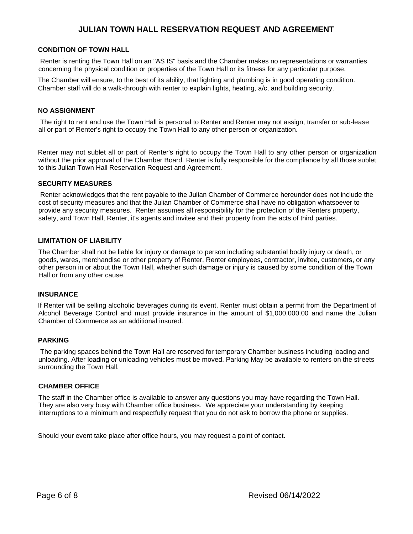#### **CONDITION OF TOWN HALL**

Renter is renting the Town Hall on an "AS IS" basis and the Chamber makes no representations or warranties concerning the physical condition or properties of the Town Hall or its fitness for any particular purpose.

The Chamber will ensure, to the best of its ability, that lighting and plumbing is in good operating condition. Chamber staff will do a walk-through with renter to explain lights, heating, a/c, and building security.

#### **NO ASSIGNMENT**

The right to rent and use the Town Hall is personal to Renter and Renter may not assign, transfer or sub-lease all or part of Renter's right to occupy the Town Hall to any other person or organization.

Renter may not sublet all or part of Renter's right to occupy the Town Hall to any other person or organization without the prior approval of the Chamber Board. Renter is fully responsible for the compliance by all those sublet to this Julian Town Hall Reservation Request and Agreement.

#### **SECURITY MEASURES**

Renter acknowledges that the rent payable to the Julian Chamber of Commerce hereunder does not include the cost of security measures and that the Julian Chamber of Commerce shall have no obligation whatsoever to provide any security measures. Renter assumes all responsibility for the protection of the Renters property, safety, and Town Hall, Renter, it's agents and invitee and their property from the acts of third parties.

#### **LIMITATION OF LIABILITY**

The Chamber shall not be liable for injury or damage to person including substantial bodily injury or death, or goods, wares, merchandise or other property of Renter, Renter employees, contractor, invitee, customers, or any other person in or about the Town Hall, whether such damage or injury is caused by some condition of the Town Hall or from any other cause.

#### **INSURANCE**

If Renter will be selling alcoholic beverages during its event, Renter must obtain a permit from the Department of Alcohol Beverage Control and must provide insurance in the amount of \$1,000,000.00 and name the Julian Chamber of Commerce as an additional insured.

#### **PARKING**

The parking spaces behind the Town Hall are reserved for temporary Chamber business including loading and unloading. After loading or unloading vehicles must be moved. Parking May be available to renters on the streets surrounding the Town Hall.

#### **CHAMBER OFFICE**

The staff in the Chamber office is available to answer any questions you may have regarding the Town Hall. They are also very busy with Chamber office business. We appreciate your understanding by keeping interruptions to a minimum and respectfully request that you do not ask to borrow the phone or supplies.

Should your event take place after office hours, you may request a point of contact.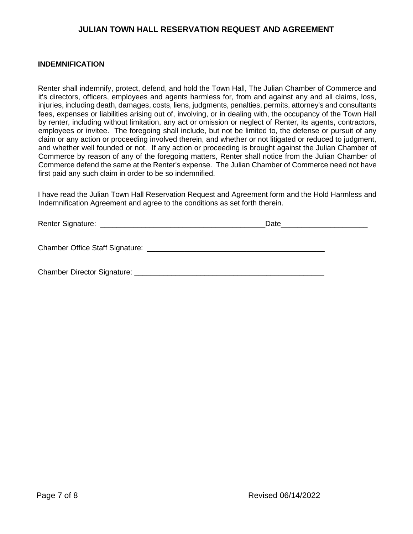#### **INDEMNIFICATION**

Renter shall indemnify, protect, defend, and hold the Town Hall, The Julian Chamber of Commerce and it's directors, officers, employees and agents harmless for, from and against any and all claims, loss, injuries, including death, damages, costs, liens, judgments, penalties, permits, attorney's and consultants fees, expenses or liabilities arising out of, involving, or in dealing with, the occupancy of the Town Hall by renter, including without limitation, any act or omission or neglect of Renter, its agents, contractors, employees or invitee. The foregoing shall include, but not be limited to, the defense or pursuit of any claim or any action or proceeding involved therein, and whether or not litigated or reduced to judgment, and whether well founded or not. If any action or proceeding is brought against the Julian Chamber of Commerce by reason of any of the foregoing matters, Renter shall notice from the Julian Chamber of Commerce defend the same at the Renter's expense. The Julian Chamber of Commerce need not have first paid any such claim in order to be so indemnified.

I have read the Julian Town Hall Reservation Request and Agreement form and the Hold Harmless and Indemnification Agreement and agree to the conditions as set forth therein.

|                             | Date |  |  |
|-----------------------------|------|--|--|
|                             |      |  |  |
| Chamber Director Signature: |      |  |  |